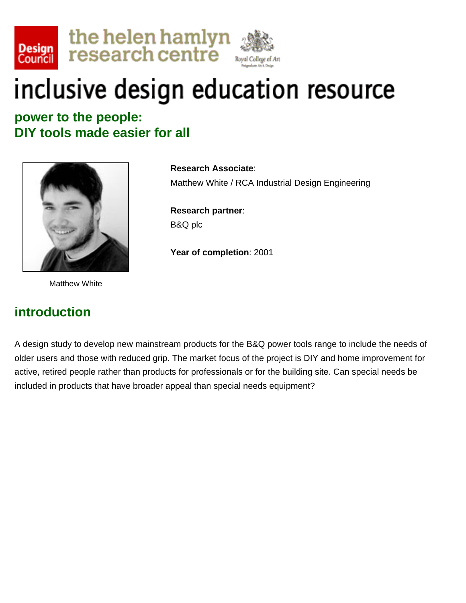



**power to the people: DIY tools made easier for all** 



Matthew White

#### **introduction**

**Research Associate**: Matthew White / RCA Industrial Design Engineering

**Research partner**: B&Q plc

**Year of completion**: 2001

A design study to develop new mainstream products for the B&Q power tools range to include the needs of older users and those with reduced grip. The market focus of the project is DIY and home improvement for active, retired people rather than products for professionals or for the building site. Can special needs be included in products that have broader appeal than special needs equipment?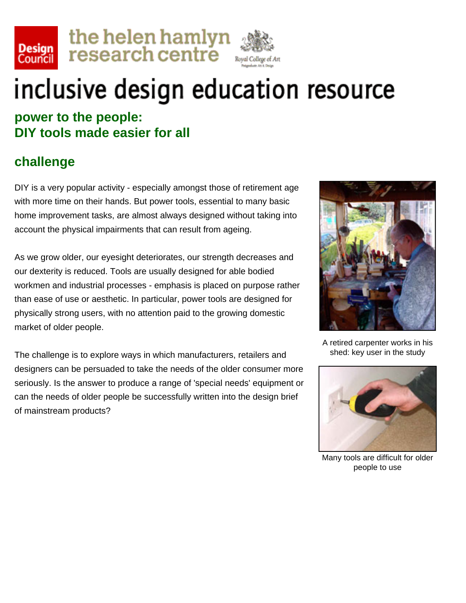





**power to the people: DIY tools made easier for all** 

### **challenge**

DIY is a very popular activity - especially amongst those of retirement age with more time on their hands. But power tools, essential to many basic home improvement tasks, are almost always designed without taking into account the physical impairments that can result from ageing.

As we grow older, our eyesight deteriorates, our strength decreases and our dexterity is reduced. Tools are usually designed for able bodied workmen and industrial processes - emphasis is placed on purpose rather than ease of use or aesthetic. In particular, power tools are designed for physically strong users, with no attention paid to the growing domestic market of older people.

The challenge is to explore ways in which manufacturers, retailers and designers can be persuaded to take the needs of the older consumer more seriously. Is the answer to produce a range of 'special needs' equipment or can the needs of older people be successfully written into the design brief of mainstream products?



A retired carpenter works in his shed: key user in the study



Many tools are difficult for older people to use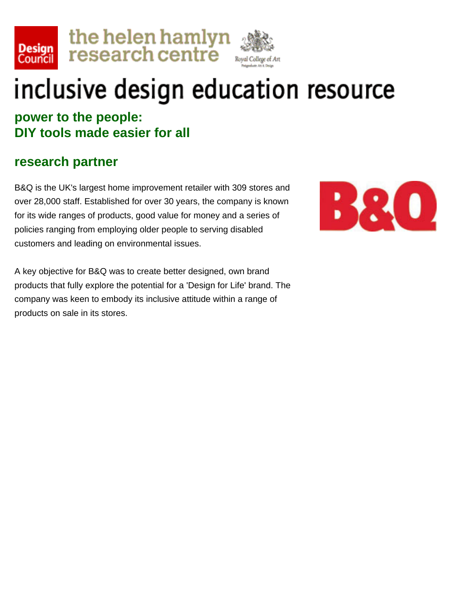





**power to the people: DIY tools made easier for all** 

#### **research partner**

B&Q is the UK's largest home improvement retailer with 309 stores and over 28,000 staff. Established for over 30 years, the company is known for its wide ranges of products, good value for money and a series of policies ranging from employing older people to serving disabled customers and leading on environmental issues.



A key objective for B&Q was to create better designed, own brand products that fully explore the potential for a 'Design for Life' brand. The company was keen to embody its inclusive attitude within a range of products on sale in its stores.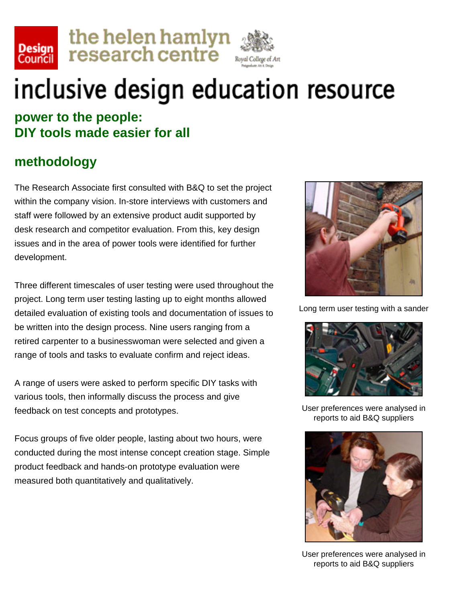





#### **power to the people: DIY tools made easier for all**

### **methodology**

The Research Associate first consulted with B&Q to set the project within the company vision. In-store interviews with customers and staff were followed by an extensive product audit supported by desk research and competitor evaluation. From this, key design issues and in the area of power tools were identified for further development.

Three different timescales of user testing were used throughout the project. Long term user testing lasting up to eight months allowed detailed evaluation of existing tools and documentation of issues to be written into the design process. Nine users ranging from a retired carpenter to a businesswoman were selected and given a range of tools and tasks to evaluate confirm and reject ideas.

A range of users were asked to perform specific DIY tasks with various tools, then informally discuss the process and give feedback on test concepts and prototypes.

Focus groups of five older people, lasting about two hours, were conducted during the most intense concept creation stage. Simple product feedback and hands-on prototype evaluation were measured both quantitatively and qualitatively.



Long term user testing with a sander



User preferences were analysed in reports to aid B&Q suppliers



User preferences were analysed in reports to aid B&Q suppliers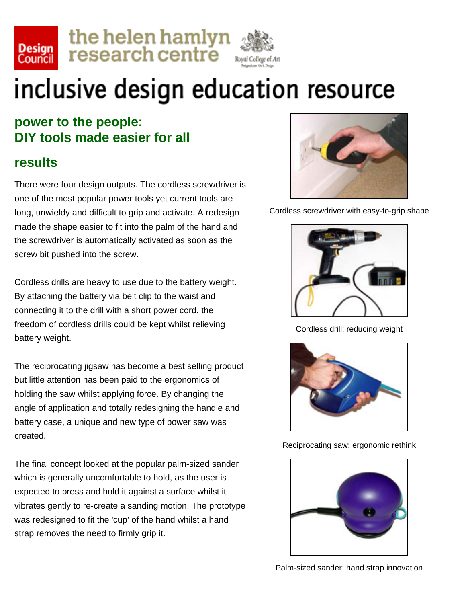





### **power to the people: DIY tools made easier for all**

#### **results**

There were four design outputs. The cordless screwdriver is one of the most popular power tools yet current tools are long, unwieldy and difficult to grip and activate. A redesign made the shape easier to fit into the palm of the hand and the screwdriver is automatically activated as soon as the screw bit pushed into the screw.

Cordless drills are heavy to use due to the battery weight. By attaching the battery via belt clip to the waist and connecting it to the drill with a short power cord, the freedom of cordless drills could be kept whilst relieving battery weight.

The reciprocating jigsaw has become a best selling product but little attention has been paid to the ergonomics of holding the saw whilst applying force. By changing the angle of application and totally redesigning the handle and battery case, a unique and new type of power saw was created.

The final concept looked at the popular palm-sized sander which is generally uncomfortable to hold, as the user is expected to press and hold it against a surface whilst it vibrates gently to re-create a sanding motion. The prototype was redesigned to fit the 'cup' of the hand whilst a hand strap removes the need to firmly grip it.



Cordless screwdriver with easy-to-grip shape



Cordless drill: reducing weight



Reciprocating saw: ergonomic rethink

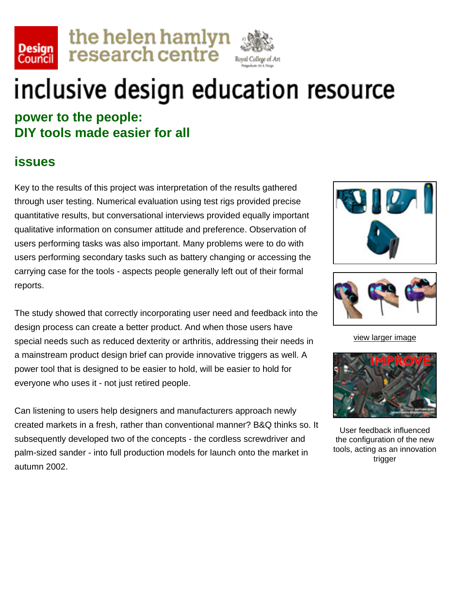





**power to the people: DIY tools made easier for all** 

#### **issues**

Key to the results of this project was interpretation of the results gathered through user testing. Numerical evaluation using test rigs provided precise quantitative results, but conversational interviews provided equally important qualitative information on consumer attitude and preference. Observation of users performing tasks was also important. Many problems were to do with users performing secondary tasks such as battery changing or accessing the carrying case for the tools - aspects people generally left out of their formal reports.

The study showed that correctly incorporating user need and feedback into the design process can create a better product. And when those users have special needs such as reduced dexterity or arthritis, addressing their needs in a mainstream product design brief can provide innovative triggers as well. A power tool that is designed to be easier to hold, will be easier to hold for everyone who uses it - not just retired people.

Can listening to users help designers and manufacturers approach newly created markets in a fresh, rather than conventional manner? B&Q thinks so. It subsequently developed two of the concepts - the cordless screwdriver and palm-sized sander - into full production models for launch onto the market in autumn 2002.





[view larger image](file:///F|/Annie/Annie%20-%20web%20pages/DesignCoucil/InclusiveDesign/mattwhite/large-issues.html)



User feedback influenced the configuration of the new tools, acting as an innovation trigger